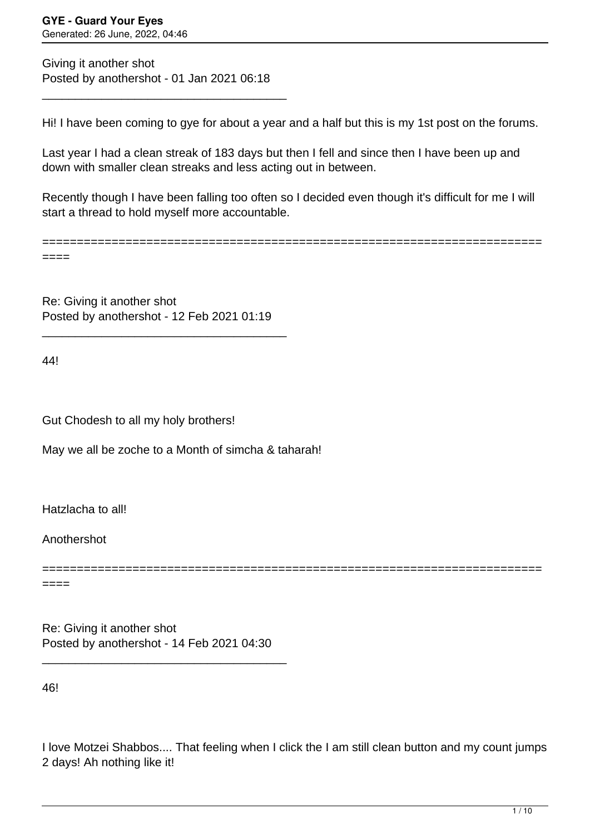Giving it another shot Posted by anothershot - 01 Jan 2021 06:18

\_\_\_\_\_\_\_\_\_\_\_\_\_\_\_\_\_\_\_\_\_\_\_\_\_\_\_\_\_\_\_\_\_\_\_\_\_

Hi! I have been coming to gye for about a year and a half but this is my 1st post on the forums.

Last year I had a clean streak of 183 days but then I fell and since then I have been up and down with smaller clean streaks and less acting out in between.

Recently though I have been falling too often so I decided even though it's difficult for me I will start a thread to hold myself more accountable.

========================================================================

====

Re: Giving it another shot Posted by anothershot - 12 Feb 2021 01:19

\_\_\_\_\_\_\_\_\_\_\_\_\_\_\_\_\_\_\_\_\_\_\_\_\_\_\_\_\_\_\_\_\_\_\_\_\_

44!

Gut Chodesh to all my holy brothers!

May we all be zoche to a Month of simcha & taharah!

Hatzlacha to all!

Anothershot

======================================================================== ====

Re: Giving it another shot Posted by anothershot - 14 Feb 2021 04:30

\_\_\_\_\_\_\_\_\_\_\_\_\_\_\_\_\_\_\_\_\_\_\_\_\_\_\_\_\_\_\_\_\_\_\_\_\_

46!

I love Motzei Shabbos.... That feeling when I click the I am still clean button and my count jumps 2 days! Ah nothing like it!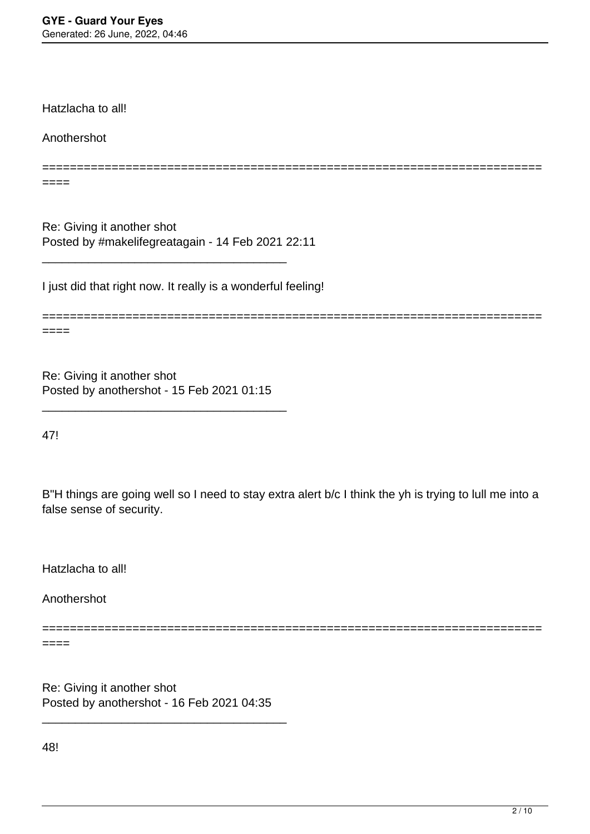Hatzlacha to all!

Anothershot

========================================================================  $====$ 

Re: Giving it another shot Posted by #makelifegreatagain - 14 Feb 2021 22:11

\_\_\_\_\_\_\_\_\_\_\_\_\_\_\_\_\_\_\_\_\_\_\_\_\_\_\_\_\_\_\_\_\_\_\_\_\_

I just did that right now. It really is a wonderful feeling!

======================================================================== ====

Re: Giving it another shot Posted by anothershot - 15 Feb 2021 01:15

\_\_\_\_\_\_\_\_\_\_\_\_\_\_\_\_\_\_\_\_\_\_\_\_\_\_\_\_\_\_\_\_\_\_\_\_\_

47!

B"H things are going well so I need to stay extra alert b/c I think the yh is trying to lull me into a false sense of security.

Hatzlacha to all!

Anothershot

================================

 $====$ 

Re: Giving it another shot Posted by anothershot - 16 Feb 2021 04:35

\_\_\_\_\_\_\_\_\_\_\_\_\_\_\_\_\_\_\_\_\_\_\_\_\_\_\_\_\_\_\_\_\_\_\_\_\_

48!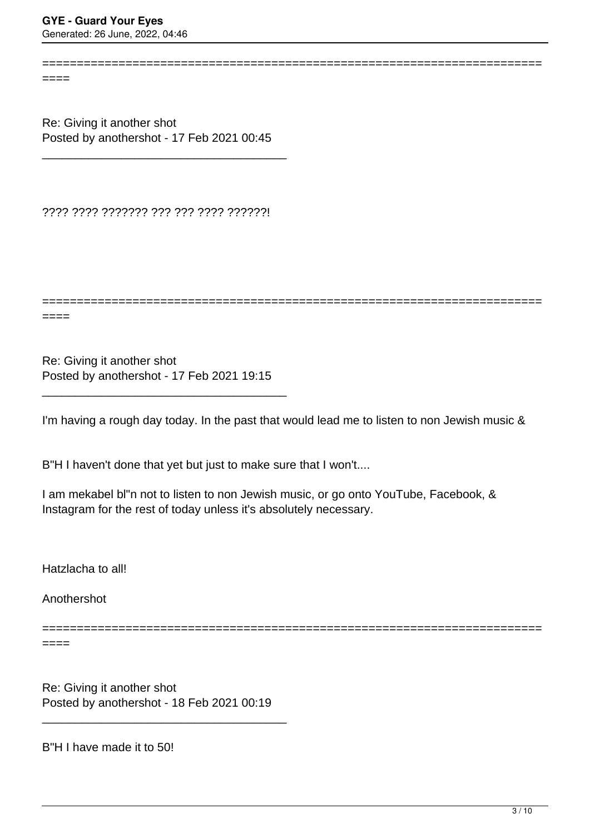$=$ 

Re: Giving it another shot Posted by anothershot - 17 Feb 2021 00:45

\_\_\_\_\_\_\_\_\_\_\_\_\_\_\_\_\_\_\_\_\_\_\_\_\_\_\_\_\_\_\_\_\_\_\_\_\_

???? ???? ??????? ??? ??? ???? ??????!

========================================================================

========================================================================

====

Re: Giving it another shot Posted by anothershot - 17 Feb 2021 19:15

\_\_\_\_\_\_\_\_\_\_\_\_\_\_\_\_\_\_\_\_\_\_\_\_\_\_\_\_\_\_\_\_\_\_\_\_\_

I'm having a rough day today. In the past that would lead me to listen to non Jewish music &

B"H I haven't done that yet but just to make sure that I won't....

I am mekabel bl"n not to listen to non Jewish music, or go onto YouTube, Facebook, & Instagram for the rest of today unless it's absolutely necessary.

Hatzlacha to all!

Anothershot

========================================================================

====

Re: Giving it another shot Posted by anothershot - 18 Feb 2021 00:19

\_\_\_\_\_\_\_\_\_\_\_\_\_\_\_\_\_\_\_\_\_\_\_\_\_\_\_\_\_\_\_\_\_\_\_\_\_

B"H I have made it to 50!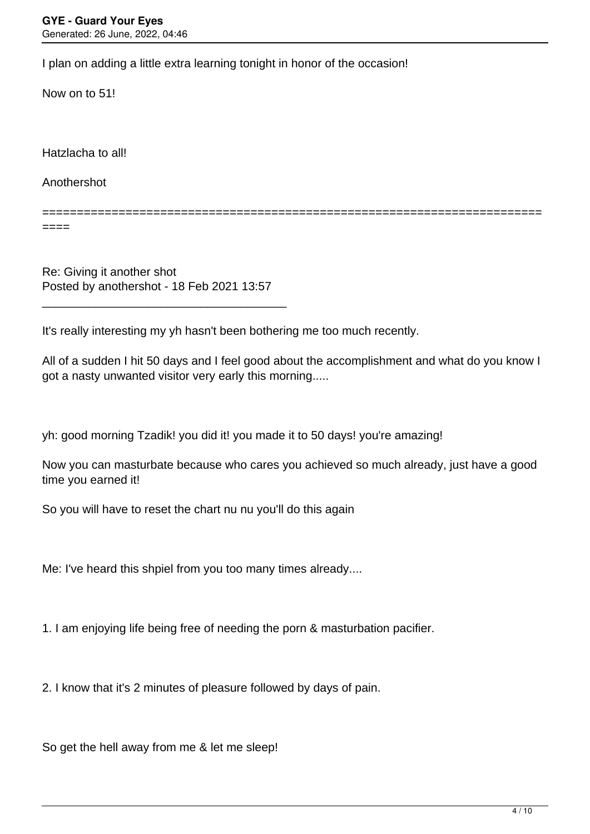I plan on adding a little extra learning tonight in honor of the occasion!

Now on to 51!

Hatzlacha to all!

Anothershot

========================================================================

====

Re: Giving it another shot Posted by anothershot - 18 Feb 2021 13:57

\_\_\_\_\_\_\_\_\_\_\_\_\_\_\_\_\_\_\_\_\_\_\_\_\_\_\_\_\_\_\_\_\_\_\_\_\_

It's really interesting my yh hasn't been bothering me too much recently.

All of a sudden I hit 50 days and I feel good about the accomplishment and what do you know I got a nasty unwanted visitor very early this morning.....

yh: good morning Tzadik! you did it! you made it to 50 days! you're amazing!

Now you can masturbate because who cares you achieved so much already, just have a good time you earned it!

So you will have to reset the chart nu nu you'll do this again

Me: I've heard this shpiel from you too many times already....

1. I am enjoying life being free of needing the porn & masturbation pacifier.

2. I know that it's 2 minutes of pleasure followed by days of pain.

So get the hell away from me & let me sleep!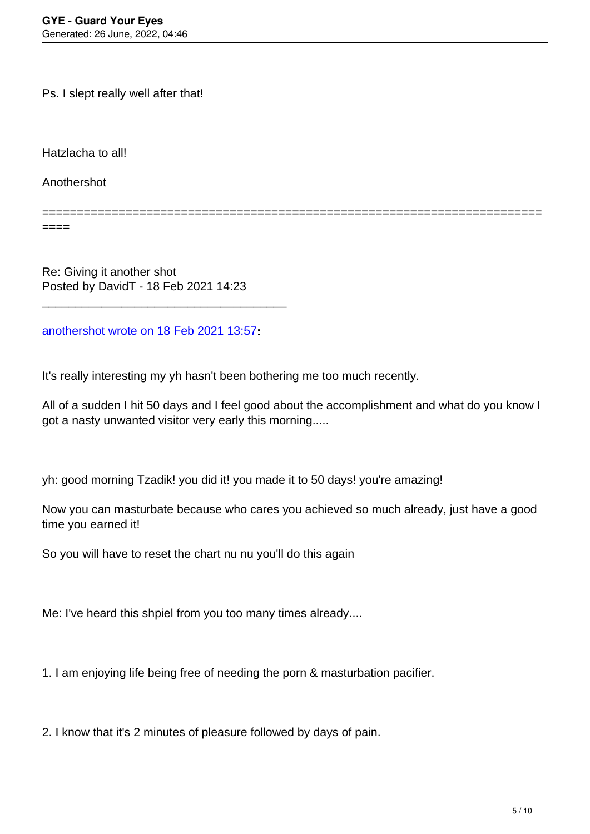Ps. I slept really well after that!

Hatzlacha to all!

Anothershot

========================================================================

 $====$ 

Re: Giving it another shot Posted by DavidT - 18 Feb 2021 14:23

[anothershot wrote on 18 Feb 2021 13:57](/forum/4-On-the-Way-to-90-Days/363676-Re-Giving-it-another-shot)**:**

\_\_\_\_\_\_\_\_\_\_\_\_\_\_\_\_\_\_\_\_\_\_\_\_\_\_\_\_\_\_\_\_\_\_\_\_\_

It's really interesting my yh hasn't been bothering me too much recently.

All of a sudden I hit 50 days and I feel good about the accomplishment and what do you know I got a nasty unwanted visitor very early this morning.....

yh: good morning Tzadik! you did it! you made it to 50 days! you're amazing!

Now you can masturbate because who cares you achieved so much already, just have a good time you earned it!

So you will have to reset the chart nu nu you'll do this again

Me: I've heard this shpiel from you too many times already....

1. I am enjoying life being free of needing the porn & masturbation pacifier.

2. I know that it's 2 minutes of pleasure followed by days of pain.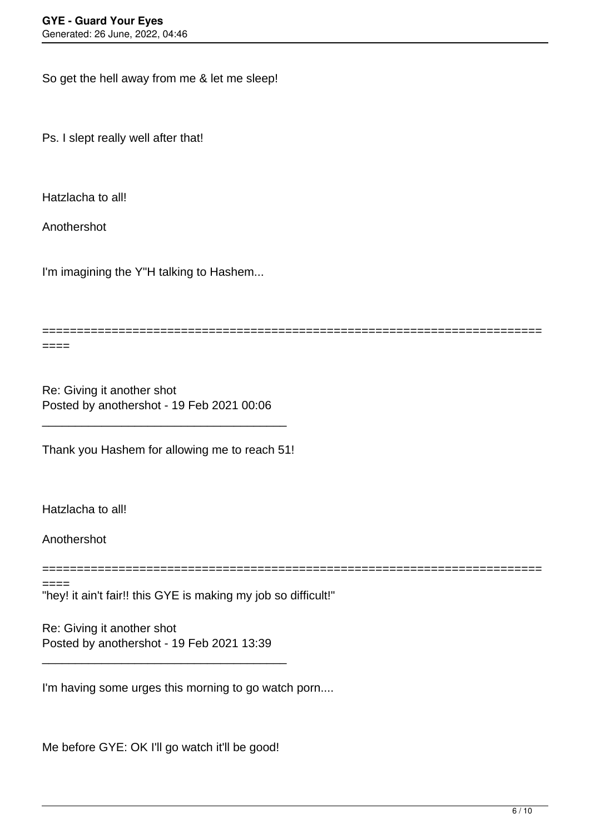So get the hell away from me & let me sleep!

Ps. I slept really well after that!

Hatzlacha to all!

Anothershot

====

I'm imagining the Y"H talking to Hashem...

**==================**=

Re: Giving it another shot Posted by anothershot - 19 Feb 2021 00:06

Thank you Hashem for allowing me to reach 51!

\_\_\_\_\_\_\_\_\_\_\_\_\_\_\_\_\_\_\_\_\_\_\_\_\_\_\_\_\_\_\_\_\_\_\_\_\_

Hatzlacha to all!

Anothershot

========================================================================

"hey! it ain't fair!! this GYE is making my job so difficult!" ====

Re: Giving it another shot Posted by anothershot - 19 Feb 2021 13:39

\_\_\_\_\_\_\_\_\_\_\_\_\_\_\_\_\_\_\_\_\_\_\_\_\_\_\_\_\_\_\_\_\_\_\_\_\_

I'm having some urges this morning to go watch porn....

Me before GYE: OK I'll go watch it'll be good!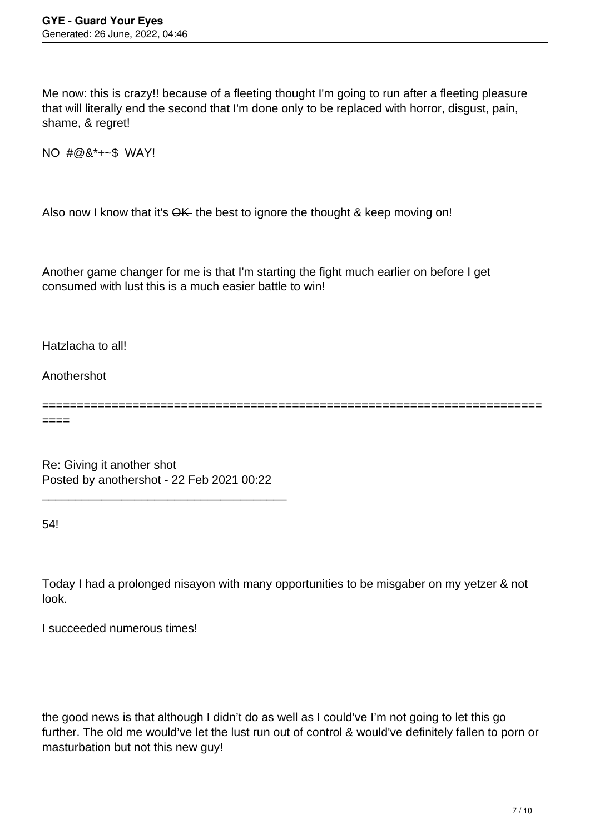Me now: this is crazy!! because of a fleeting thought I'm going to run after a fleeting pleasure that will literally end the second that I'm done only to be replaced with horror, disgust, pain, shame, & regret!

NO #@&\*+~\$ WAY!

Also now I know that it's OK the best to ignore the thought & keep moving on!

Another game changer for me is that I'm starting the fight much earlier on before I get consumed with lust this is a much easier battle to win!

Hatzlacha to all!

Anothershot

========================================================================

====

Re: Giving it another shot Posted by anothershot - 22 Feb 2021 00:22

\_\_\_\_\_\_\_\_\_\_\_\_\_\_\_\_\_\_\_\_\_\_\_\_\_\_\_\_\_\_\_\_\_\_\_\_\_

54!

Today I had a prolonged nisayon with many opportunities to be misgaber on my yetzer & not look.

I succeeded numerous times!

the good news is that although I didn't do as well as I could've I'm not going to let this go further. The old me would've let the lust run out of control & would've definitely fallen to porn or masturbation but not this new guy!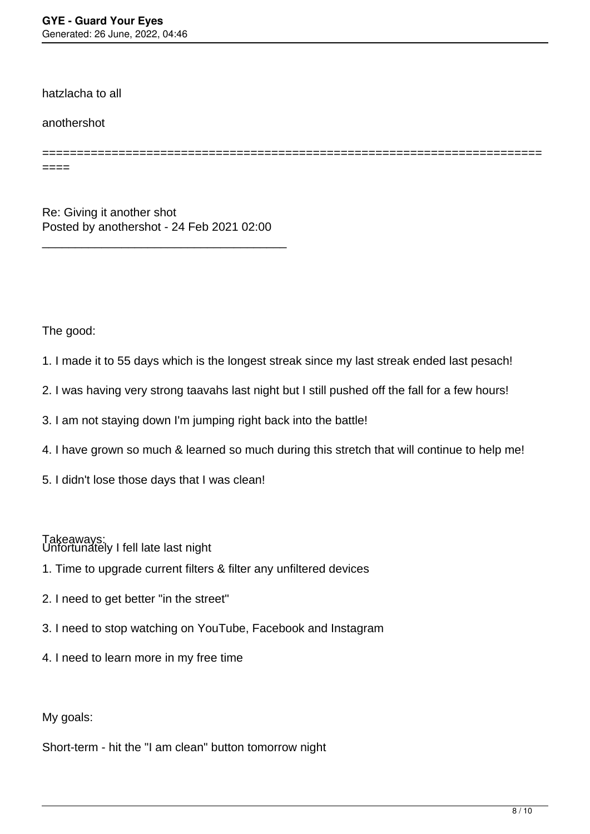hatzlacha to all

anothershot

======================================================================== ====

Re: Giving it another shot Posted by anothershot - 24 Feb 2021 02:00

\_\_\_\_\_\_\_\_\_\_\_\_\_\_\_\_\_\_\_\_\_\_\_\_\_\_\_\_\_\_\_\_\_\_\_\_\_

The good:

- 1. I made it to 55 days which is the longest streak since my last streak ended last pesach!
- 2. I was having very strong taavahs last night but I still pushed off the fall for a few hours!
- 3. I am not staying down I'm jumping right back into the battle!
- 4. I have grown so much & learned so much during this stretch that will continue to help me!
- 5. I didn't lose those days that I was clean!

Unfortunately I fell late last night Takeaways:

- 1. Time to upgrade current filters & filter any unfiltered devices
- 2. I need to get better "in the street"
- 3. I need to stop watching on YouTube, Facebook and Instagram
- 4. I need to learn more in my free time

My goals:

Short-term - hit the "I am clean" button tomorrow night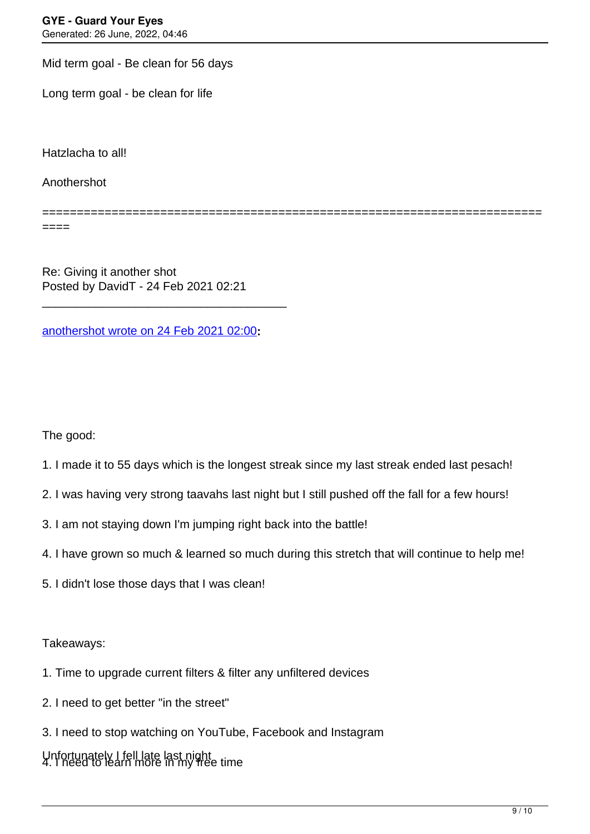Mid term goal - Be clean for 56 days

Long term goal - be clean for life

Hatzlacha to all!

Anothershot

========================================================================

====

Re: Giving it another shot Posted by DavidT - 24 Feb 2021 02:21

[anothershot wrote on 24 Feb 2021 02:00](/forum/4-On-the-Way-to-90-Days/364100-Re-Giving-it-another-shot)**:**

\_\_\_\_\_\_\_\_\_\_\_\_\_\_\_\_\_\_\_\_\_\_\_\_\_\_\_\_\_\_\_\_\_\_\_\_\_

The good:

- 1. I made it to 55 days which is the longest streak since my last streak ended last pesach!
- 2. I was having very strong taavahs last night but I still pushed off the fall for a few hours!
- 3. I am not staying down I'm jumping right back into the battle!
- 4. I have grown so much & learned so much during this stretch that will continue to help me!
- 5. I didn't lose those days that I was clean!

Takeaways:

- 1. Time to upgrade current filters & filter any unfiltered devices
- 2. I need to get better "in the street"
- 3. I need to stop watching on YouTube, Facebook and Instagram

Unfortunately I fell late last night 4. I need to learn more in my free time